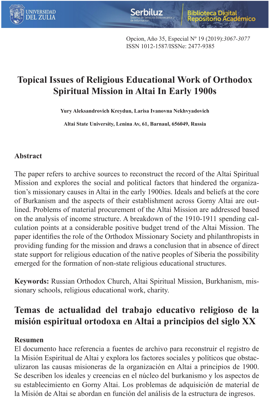

Opcion, Año 35, Especial Nº 19 (2019):*3067-3077* ISSN 1012-1587/ISSNe: 2477-9385

# **Topical Issues of Religious Educational Work of Orthodox Spiritual Mission in Altai In Early 1900s**

**Yury Aleksandrovich Kreydun, Larisa Ivanovna Nekhvyadovich**

**Altai State University, Lenina Av, 61, Barnaul, 656049, Russia**

## **Abstract**

The paper refers to archive sources to reconstruct the record of the Altai Spiritual Mission and explores the social and political factors that hindered the organization's missionary causes in Altai in the early 1900ies. Ideals and beliefs at the core of Burkanism and the aspects of their establishment across Gorny Altai are outlined. Problems of material procurement of the Altai Mission are addressed based on the analysis of income structure. A breakdown of the 1910-1911 spending calculation points at a considerable positive budget trend of the Altai Mission. The paper identifies the role of the Orthodox Missionary Society and philanthropists in providing funding for the mission and draws a conclusion that in absence of direct state support for religious education of the native peoples of Siberia the possibility emerged for the formation of non-state religious educational structures.

**Keywords:** Russian Orthodox Church, Altai Spiritual Mission, Burkhanism, missionary schools, religious educational work, charity.

# **Temas de actualidad del trabajo educativo religioso de la misión espiritual ortodoxa en Altai a principios del siglo XX**

## **Resumen**

El documento hace referencia a fuentes de archivo para reconstruir el registro de la Misión Espiritual de Altai y explora los factores sociales y políticos que obstaculizaron las causas misioneras de la organización en Altai a principios de 1900. Se describen los ideales y creencias en el núcleo del burkanismo y los aspectos de su establecimiento en Gorny Altai. Los problemas de adquisición de material de la Misión de Altai se abordan en función del análisis de la estructura de ingresos.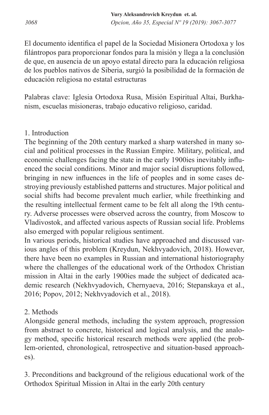El documento identifica el papel de la Sociedad Misionera Ortodoxa y los filántropos para proporcionar fondos para la misión y llega a la conclusión de que, en ausencia de un apoyo estatal directo para la educación religiosa de los pueblos nativos de Siberia, surgió la posibilidad de la formación de educación religiosa no estatal estructuras

Palabras clave: Iglesia Ortodoxa Rusa, Misión Espiritual Altai, Burkhanism, escuelas misioneras, trabajo educativo religioso, caridad.

## 1. Introduction

The beginning of the 20th century marked a sharp watershed in many social and political processes in the Russian Empire. Military, political, and economic challenges facing the state in the early 1900ies inevitably influenced the social conditions. Minor and major social disruptions followed, bringing in new influences in the life of peoples and in some cases destroying previously established patterns and structures. Major political and social shifts had become prevalent much earlier, while freethinking and the resulting intellectual ferment came to be felt all along the 19th century. Adverse processes were observed across the country, from Moscow to Vladivostok, and affected various aspects of Russian social life. Problems also emerged with popular religious sentiment.

In various periods, historical studies have approached and discussed various angles of this problem (Kreydun, Nekhvyadovich, 2018). However, there have been no examples in Russian and international historiography where the challenges of the educational work of the Orthodox Christian mission in Altai in the early 1900ies made the subject of dedicated academic research (Nekhvyadovich, Chernyaeva, 2016; Stepanskaya et al., 2016; Popov, 2012; Nekhvyadovich et al., 2018).

# 2. Methods

Alongside general methods, including the system approach, progression from abstract to concrete, historical and logical analysis, and the analogy method, specific historical research methods were applied (the problem-oriented, chronological, retrospective and situation-based approaches).

3. Preconditions and background of the religious educational work of the Orthodox Spiritual Mission in Altai in the early 20th century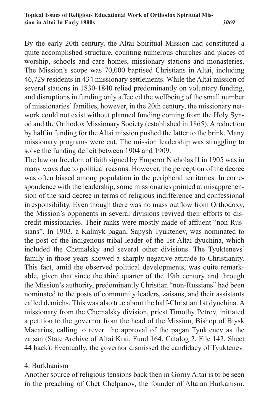*3069*

By the early 20th century, the Altai Spiritual Mission had constituted a quite accomplished structure, counting numerous churches and places of worship, schools and care homes, missionary stations and monasteries. The Mission's scope was 70,000 baptised Christians in Altai, including 46,729 residents in 434 missionary settlements. While the Altai mission of several stations in 1830-1840 relied predominantly on voluntary funding, and disruptions in funding only affected the wellbeing of the small number of missionaries' families, however, in the 20th century, the missionary network could not exist without planned funding coming from the Holy Synod and the Orthodox Missionary Society (established in 1865). A reduction by half in funding for the Altai mission pushed the latter to the brink. Many missionary programs were cut. The mission leadership was struggling to solve the funding deficit between 1904 and 1909.

The law on freedom of faith signed by Emperor Nicholas II in 1905 was in many ways due to political reasons. However, the perception of the decree was often biased among population in the peripheral territories. In correspondence with the leadership, some missionaries pointed at misapprehension of the said decree in terms of religious indifference and confessional irresponsibility. Even though there was no mass outflow from Orthodoxy, the Mission's opponents in several divisions revived their efforts to discredit missionaries. Their ranks were mostly made of affluent "non-Russians". In 1903, a Kalmyk pagan, Sapysh Tyuktenev, was nominated to the post of the indigenous tribal leader of the 1st Altai dyuchina, which included the Chemalsky and several other divisions. The Tyuktenevs' family in those years showed a sharply negative attitude to Christianity. This fact, amid the observed political developments, was quite remarkable, given that since the third quarter of the 19th century and through the Mission's authority, predominantly Christian "non-Russians" had been nominated to the posts of community leaders, zaisans, and their assistants called demichs. This was also true about the half-Christian 1st dyuchina. A missionary from the Chemalsky division, priest Timothy Petrov, initiated a petition to the governor from the head of the Mission, Bishop of Biysk Macarius, calling to revert the approval of the pagan Tyuktenev as the zaisan (State Archive of Altai Krai, Fund 164, Catalog 2, File 142, Sheet 44 back). Eventually, the governor dismissed the candidacy of Tyuktenev.

#### 4. Burkhanism

Another source of religious tensions back then in Gorny Altai is to be seen in the preaching of Chet Chelpanov, the founder of Altaian Burkanism.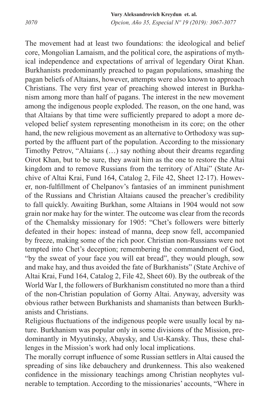The movement had at least two foundations: the ideological and belief core, Mongolian Lamaism, and the political core, the aspirations of mythical independence and expectations of arrival of legendary Oirat Khan. Burkhanists predominantly preached to pagan populations, smashing the pagan beliefs of Altaians, however, attempts were also known to approach Christians. The very first year of preaching showed interest in Burkhanism among more than half of pagans. The interest in the new movement among the indigenous people exploded. The reason, on the one hand, was that Altaians by that time were sufficiently prepared to adopt a more developed belief system representing monotheism in its core; on the other hand, the new religious movement as an alternative to Orthodoxy was supported by the affluent part of the population. According to the missionary Timothy Petrov, "Altaians (…) say nothing about their dreams regarding Oirot Khan, but to be sure, they await him as the one to restore the Altai kingdom and to remove Russians from the territory of Altai" (State Archive of Altai Krai, Fund 164, Catalog 2, File 42, Sheet 12-17). However, non-fulfillment of Chelpanov's fantasies of an imminent punishment of the Russians and Christian Altaians caused the preacher's credibility to fall quickly. Awaiting Burkhan, some Altaians in 1904 would not sow grain nor make hay for the winter. The outcome was clear from the records of the Chemalsky missionary for 1905: "Chet's followers were bitterly defeated in their hopes: instead of manna, deep snow fell, accompanied by freeze, making some of the rich poor. Christian non-Russians were not tempted into Chet's deception; remembering the commandment of God, "by the sweat of your face you will eat bread", they would plough, sow and make hay, and thus avoided the fate of Burkhanists" (State Archive of Altai Krai, Fund 164, Catalog 2, File 42, Sheet 60). By the outbreak of the World War I, the followers of Burkhanism constituted no more than a third of the non-Christian population of Gorny Altai. Anyway, adversity was obvious rather between Burkhanists and shamanists than between Burkhanists and Christians.

Religious fluctuations of the indigenous people were usually local by nature. Burkhanism was popular only in some divisions of the Mission, predominantly in Myyutinsky, Abaysky, and Ust-Kansky. Thus, these challenges in the Mission's work had only local implications.

The morally corrupt influence of some Russian settlers in Altai caused the spreading of sins like debauchery and drunkenness. This also weakened confidence in the missionary teachings among Christian neophytes vulnerable to temptation. According to the missionaries' accounts, "Where in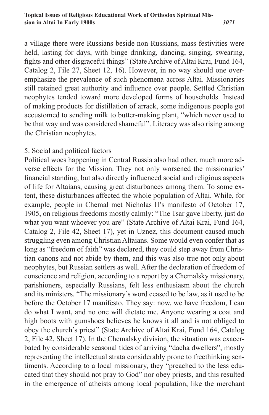a village there were Russians beside non-Russians, mass festivities were held, lasting for days, with binge drinking, dancing, singing, swearing, fights and other disgraceful things" (State Archive of Altai Krai, Fund 164, Catalog 2, File 27, Sheet 12, 16). However, in no way should one overemphasize the prevalence of such phenomena across Altai. Missionaries still retained great authority and influence over people. Settled Christian neophytes tended toward more developed forms of households. Instead of making products for distillation of arrack, some indigenous people got accustomed to sending milk to butter-making plant, "which never used to be that way and was considered shameful". Literacy was also rising among the Christian neophytes.

## 5. Social and political factors

Political woes happening in Central Russia also had other, much more adverse effects for the Mission. They not only worsened the missionaries' financial standing, but also directly influenced social and religious aspects of life for Altaians, causing great disturbances among them. To some extent, these disturbances affected the whole population of Altai. While, for example, people in Chemal met Nicholas II's manifesto of October 17, 1905, on religious freedoms mostly calmly: "The Tsar gave liberty, just do what you want whoever you are" (State Archive of Altai Krai, Fund 164, Catalog 2, File 42, Sheet 17), yet in Uznez, this document caused much struggling even among Christian Altaians. Some would even confer that as long as "freedom of faith" was declared, they could step away from Christian canons and not abide by them, and this was also true not only about neophytes, but Russian settlers as well. After the declaration of freedom of conscience and religion, according to a report by a Chemalsky missionary, parishioners, especially Russians, felt less enthusiasm about the church and its ministers. "The missionary's word ceased to be law, as it used to be before the October 17 manifesto. They say: now, we have freedom, I can do what I want, and no one will dictate me. Anyone wearing a coat and high boots with gumshoes believes he knows it all and is not obliged to obey the church's priest" (State Archive of Altai Krai, Fund 164, Catalog 2, File 42, Sheet 17). In the Chemalsky division, the situation was exacerbated by considerable seasonal tides of arriving "dacha dwellers", mostly representing the intellectual strata considerably prone to freethinking sentiments. According to a local missionary, they "preached to the less educated that they should not pray to God" nor obey priests, and this resulted in the emergence of atheists among local population, like the merchant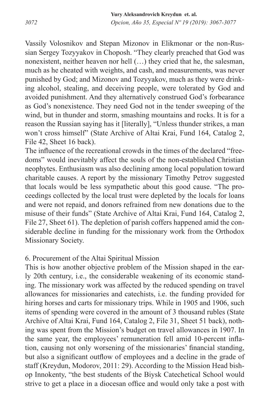Vassily Volosnikov and Stepan Mizonov in Elikmonar or the non-Russian Sergey Tozyyakov in Choposh. "They clearly preached that God was nonexistent, neither heaven nor hell (…) they cried that he, the salesman, much as he cheated with weights, and cash, and measurements, was never punished by God; and Mizonov and Tozyyakov, much as they were drinking alcohol, stealing, and deceiving people, were tolerated by God and avoided punishment. And they alternatively construed God's forbearance as God's nonexistence. They need God not in the tender sweeping of the wind, but in thunder and storm, smashing mountains and rocks. It is for a reason the Russian saying has it [literally], "Unless thunder strikes, a man won't cross himself" (State Archive of Altai Krai, Fund 164, Catalog 2, File 42, Sheet 16 back).

The influence of the recreational crowds in the times of the declared "freedoms" would inevitably affect the souls of the non-established Christian neophytes. Enthusiasm was also declining among local population toward charitable causes. A report by the missionary Timothy Petrov suggested that locals would be less sympathetic about this good cause. "The proceedings collected by the local trust were depleted by the locals for loans and were not repaid, and donors refrained from new donations due to the misuse of their funds" (State Archive of Altai Krai, Fund 164, Catalog 2, File 27, Sheet 61). The depletion of parish coffers happened amid the considerable decline in funding for the missionary work from the Orthodox Missionary Society.

## 6. Procurement of the Altai Spiritual Mission

This is how another objective problem of the Mission shaped in the early 20th century, i.e., the considerable weakening of its economic standing. The missionary work was affected by the reduced spending on travel allowances for missionaries and catechists, i.e. the funding provided for hiring horses and carts for missionary trips. While in 1905 and 1906, such items of spending were covered in the amount of 3 thousand rubles (State Archive of Altai Krai, Fund 164, Catalog 2, File 31, Sheet 51 back), nothing was spent from the Mission's budget on travel allowances in 1907. In the same year, the employees' remuneration fell amid 10-percent inflation, causing not only worsening of the missionaries' financial standing, but also a significant outflow of employees and a decline in the grade of staff (Kreydun, Modorov, 2011: 29). According to the Mission Head bishop Innokenty, "the best students of the Biysk Catechetical School would strive to get a place in a diocesan office and would only take a post with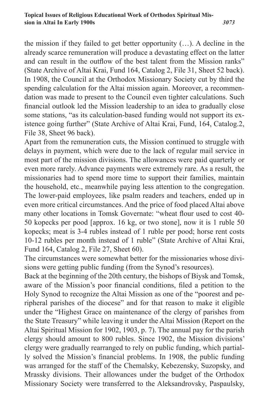the mission if they failed to get better opportunity (…). A decline in the already scarce remuneration will produce a devastating effect on the latter and can result in the outflow of the best talent from the Mission ranks" (State Archive of Altai Krai, Fund 164, Catalog 2, File 31, Sheet 52 back). In 1908, the Council at the Orthodox Missionary Society cut by third the spending calculation for the Altai mission again. Moreover, a recommendation was made to present to the Council even tighter calculations. Such financial outlook led the Mission leadership to an idea to gradually close some stations, "as its calculation-based funding would not support its existence going further" (State Archive of Altai Krai, Fund, 164, Catalog.2, File 38, Sheet 96 back).

Apart from the remuneration cuts, the Mission continued to struggle with delays in payment, which were due to the lack of regular mail service in most part of the mission divisions. The allowances were paid quarterly or even more rarely. Advance payments were extremely rare. As a result, the missionaries had to spend more time to support their families, maintain the household, etc., meanwhile paying less attention to the congregation. The lower-paid employees, like psalm readers and teachers, ended up in even more critical circumstances. And the price of food placed Altai above many other locations in Tomsk Governate: "wheat flour used to cost 40- 50 kopecks per pood [approx. 16 kg, or two stone], now it is 1 ruble 50 kopecks; meat is 3-4 rubles instead of 1 ruble per pood; horse rent costs 10-12 rubles per month instead of 1 ruble" (State Archive of Altai Krai, Fund 164, Catalog 2, File 27, Sheet 60).

The circumstances were somewhat better for the missionaries whose divisions were getting public funding (from the Synod's resources).

Back at the beginning of the 20th century, the bishops of Biysk and Tomsk, aware of the Mission's poor financial conditions, filed a petition to the Holy Synod to recognize the Altai Mission as one of the "poorest and peripheral parishes of the diocese" and for that reason to make it eligible under the "Highest Grace on maintenance of the clergy of parishes from the State Treasury" while leaving it under the Altai Mission (Report on the Altai Spiritual Mission for 1902, 1903, p. 7). The annual pay for the parish clergy should amount to 800 rubles. Since 1902, the Mission divisions' clergy were gradually rearranged to rely on public funding, which partially solved the Mission's financial problems. In 1908, the public funding was arranged for the staff of the Chemalsky, Kebezensky, Suzopsky, and Mrassky divisions. Their allowances under the budget of the Orthodox Missionary Society were transferred to the Aleksandrovsky, Paspaulsky,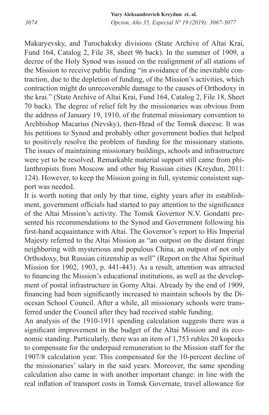Makaryevsky, and Turochaksky divisions (State Archive of Altai Krai, Fund 164, Catalog 2, File 38, sheet 96 back). In the summer of 1909, a decree of the Holy Synod was issued on the realignment of all stations of the Mission to receive public funding "in avoidance of the inevitable contraction, due to the depletion of funding, of the Mission's activities, which contraction might do unrecoverable damage to the causes of Orthodoxy in the krai." (State Archive of Altai Krai, Fund 164, Catalog 2, File 18, Sheet 70 back). The degree of relief felt by the missionaries was obvious from the address of January 19, 1910, of the fraternal missionary convention to Archbishop Macarius (Nevsky), then-Head of the Tomsk diocese. It was his petitions to Synod and probably other government bodies that helped to positively resolve the problem of funding for the missionary stations. The issues of maintaining missionary buildings, schools and infrastructure were yet to be resolved. Remarkable material support still came from philanthropists from Moscow and other big Russian cities (Kreydun, 2011: 124). However, to keep the Mission going in full, systemic consistent support was needed.

It is worth noting that only by that time, eighty years after its establishment, government officials had started to pay attention to the significance of the Altai Mission's activity. The Tomsk Governor N.V. Gondatti presented his recommendations to the Synod and Government following his first-hand acquaintance with Altai. The Governor's report to His Imperial Majesty referred to the Altai Mission as "an outpost on the distant fringe neighboring with mysterious and populous China, an outpost of not only Orthodoxy, but Russian citizenship as well" (Report on the Altai Spiritual Mission for 1902, 1903, p. 441-443). As a result, attention was attracted to financing the Mission's educational institutions, as well as the development of postal infrastructure in Gorny Altai. Already by the end of 1909, financing had been significantly increased to maintain schools by the Diocesan School Council. After a while, all missionary schools were transferred under the Council after they had received stable funding.

An analysis of the 1910-1911 spending calculation suggests there was a significant improvement in the budget of the Altai Mission and its economic standing. Particularly, there was an item of 1,753 rubles 20 kopecks to compensate for the underpaid remuneration to the Mission staff for the 1907/8 calculation year. This compensated for the 10-percent decline of the missionaries' salary in the said years. Moreover, the same spending calculation also came in with another important change: in line with the real inflation of transport costs in Tomsk Governate, travel allowance for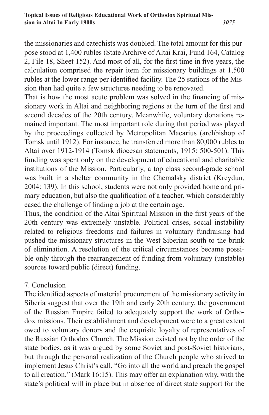*3075*

the missionaries and catechists was doubled. The total amount for this purpose stood at 1,400 rubles (State Archive of Altai Krai, Fund 164, Catalog 2, File 18, Sheet 152). And most of all, for the first time in five years, the calculation comprised the repair item for missionary buildings at 1,500 rubles at the lower range per identified facility. The 25 stations of the Mission then had quite a few structures needing to be renovated.

That is how the most acute problem was solved in the financing of missionary work in Altai and neighboring regions at the turn of the first and second decades of the 20th century. Meanwhile, voluntary donations remained important. The most important role during that period was played by the proceedings collected by Metropolitan Macarius (archbishop of Tomsk until 1912). For instance, he transferred more than 80,000 rubles to Altai over 1912-1914 (Tomsk diocesan statements, 1915: 500-501). This funding was spent only on the development of educational and charitable institutions of the Mission. Particularly, a top class second-grade school was built in a shelter community in the Chemalsky district (Kreydun, 2004: 139). In this school, students were not only provided home and primary education, but also the qualification of a teacher, which considerably eased the challenge of finding a job at the certain age.

Thus, the condition of the Altai Spiritual Mission in the first years of the 20th century was extremely unstable. Political crises, social instability related to religious freedoms and failures in voluntary fundraising had pushed the missionary structures in the West Siberian south to the brink of elimination. A resolution of the critical circumstances became possible only through the rearrangement of funding from voluntary (unstable) sources toward public (direct) funding.

## 7. Conclusion

The identified aspects of material procurement of the missionary activity in Siberia suggest that over the 19th and early 20th century, the government of the Russian Empire failed to adequately support the work of Orthodox missions. Their establishment and development were to a great extent owed to voluntary donors and the exquisite loyalty of representatives of the Russian Orthodox Church. The Mission existed not by the order of the state bodies, as it was argued by some Soviet and post-Soviet historians, but through the personal realization of the Church people who strived to implement Jesus Christ's call, "Go into all the world and preach the gospel to all creation." (Mark 16:15). This may offer an explanation why, with the state's political will in place but in absence of direct state support for the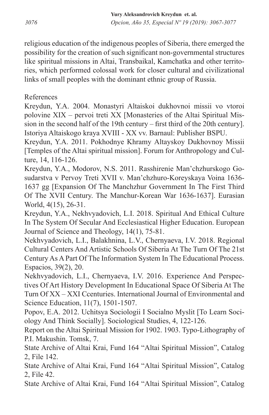*3076 Opcion, Año 35, Especial Nº 19 (2019): 3067-3077* **Yury Aleksandrovich Kreydun et. al.**

religious education of the indigenous peoples of Siberia, there emerged the possibility for the creation of such significant non-governmental structures like spiritual missions in Altai, Transbaikal, Kamchatka and other territories, which performed colossal work for closer cultural and civilizational links of small peoples with the dominant ethnic group of Russia.

# References

Kreydun, Y.A. 2004. Monastyri Altaiskoi dukhovnoi missii vo vtoroi polovine XIX – pervoi treti XX [Monasteries of the Altai Spiritual Mission in the second half of the 19th century – first third of the 20th century]. Istoriya Altaiskogo kraya XVIII - XX vv. Barnaul: Publisher BSPU.

Kreydun, Y.A. 2011. Pokhodnye Khrаmy Аltаyskoy Dukhovnoy Missii [Temples of the Altai spiritual mission]. Forum for Anthropology and Culture, 14, 116-126.

Kreydun, Y.A., Modorov, N.S. 2011. Rаsshirenie Mаn'chzhurskogo Gosudаrstvа v Pervoy Treti XVII v. Mаn'chzhuro-Koreyskаya Voinа 1636- 1637 gg [Expansion Of The Manchzhur Government In The First Third Of The XVII Century. The Manchur-Korean War 1636-1637]. Eurasian World, 4(15), 26-31.

Kreydun, Y.A., Nekhvyadovich, L.I. 2018. Spiritual And Ethical Culture In The System Of Secular And Ecclesiastical Higher Education. European Journal of Science and Theology, 14(1), 75-81.

Nekhvyadovich, L.I., Balakhnina, L.V., Chernyaeva, I.V. 2018. Regional Cultural Centers And Artistic Schools Of Siberia At The Turn Of The 21st Century As A Part Of The Information System In The Educational Process. Espacios, 39(2), 20.

Nekhvyadovich, L.I., Chernyaeva, I.V. 2016. Experience And Perspectives Of Art History Development In Educational Space Of Siberia At The Turn Of XX – XXI Ccenturies. International Journal of Environmental and Science Education, 11(7), 1501-1507.

Popov, E.A. 2012. Uchitsya Sociologii I Socialno Myslit [To Learn Sociology And Think Socially]. Sociological Studies, 4, 122-126.

Report on the Altai Spiritual Mission for 1902. 1903. Typo-Lithography of P.I. Makushin. Tomsk, 7.

State Archive of Altai Krai, Fund 164 "Altai Spiritual Mission", Catalog 2, File 142.

State Archive of Altai Krai, Fund 164 "Altai Spiritual Mission", Catalog 2, File 42.

State Archive of Altai Krai, Fund 164 "Altai Spiritual Mission", Catalog